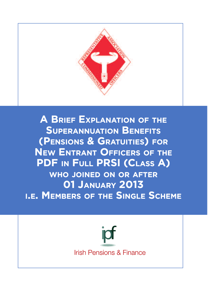

**A** BRIEF EXPLANATION OF THE **SUPERANNUATION BENEFITS SUPERANNU ATION BENEFIT TS(PENSIONS & GRATUITIES) FOR (PENSIONS F NEW ENTRANT OFFICERS OF THE PDF** IN FULL PRSI (CLASS A) **WHO JOINED ON OR AFTER JOINE 01 JANUARY 2013 01 JAN** WHO JOINED ON OR AFTER<br> **I.E. Members of the Single Scheme** 

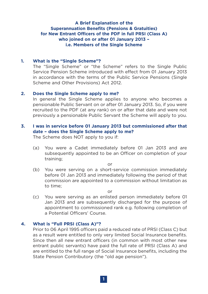# **A Brief Explanation of the Superannuation Benefits (Pensions & Gratuities) for New Entrant Officers of the PDF in full PRSI (Class A) who joined on or after 01 January 2013 – i.e. Members of the Single Scheme**

#### **1. What is the "Single Scheme"?**

The "Single Scheme" or "the Scheme" refers to the Single Public Service Pension Scheme introduced with effect from 01 January 2013 in accordance with the terms of the Public Service Pensions (Single Scheme and Other Provisions) Act 2012.

#### **2. Does the Single Scheme apply to me?**

In general the Single Scheme applies to anyone who becomes a pensionable Public Servant on or after 01 January 2013. So, if you were recruited to the PDF (at any rank) on or after that date and were not previously a pensionable Public Servant the Scheme will apply to you.

# **3. I was in service before 01 January 2013 but commissioned after that date – does the Single Scheme apply to me?**

The Scheme does NOT apply to you if:

(a) You were a Cadet immediately before 01 Jan 2013 and are subsequently appointed to be an Officer on completion of your training;

or

(b) You were serving on a short-service commission immediately before 01 Jan 2013 and immediately following the period of that commission are appointed to a commission without limitation as to time;

or

(c) You were serving as an enlisted person immediately before 01 Jan 2013 and are subsequently discharged for the purpose of appointment to commissioned rank e.g. following completion of a Potential Officers' Course.

### **4. What is "Full PRSI (Class A)"?**

Prior to 06 April 1995 officers paid a reduced rate of PRSI (Class C) but as a result were entitled to only very limited Social Insurance benefits. Since then all new entrant officers (in common with most other new entrant public servants) have paid the full rate of PRSI (Class A) and are entitled to the full range of Social Insurance benefits, including the State Pension Contributory (the "old age pension").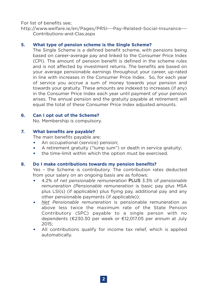For list of benefits see;

http://www.welfare.ie/en/Pages/PRSI---Pay-Related-Social-Insurance--- Contributions-and-Clas.aspx

# **5. What type of pension scheme is the Single Scheme?**

The Single Scheme is a defined benefit scheme, with pensions being based on career-average pay and linked to the Consumer Price Index (CPI). The amount of pension benefit is defined in the scheme rules and is not affected by investment returns. The benefits are based on your average pensionable earnings throughout your career, up-rated in line with increases in the Consumer Price Index. So, for each year of service you accrue a sum of money towards your pension and towards your gratuity. These amounts are indexed to increases (if any) in the Consumer Price Index each year until payment of your pension arises. The annual pension and the gratuity payable at retirement will equal the total of these Consumer Price Index adjusted amounts.

### **6. Can I opt out of the Scheme?**

No. Membership is compulsory.

### **7. What benefits are payable?**

The main benefits payable are:

- An occupational (service) pension:
- A retirement gratuity ("lump sum") or death in service gratuity:
- the time-limit within which the option must be exercised.

### **8. Do I make contributions towards my pension benefits?**

Yes – the Scheme is contributory. The contribution rates deducted from your salary on an ongoing basis are as follows:

- 4.2% of n*et pensionable remuneration* PLUS 3.3% of *pensionable remuneration (Pensionable remuneration* is basic pay plus MSA plus LSI(s) (if applicable) plus flying pay, additional pay and any other pensionable payments (if applicable));
- *Net Pensionable remuneration* is pensionable remuneration as above less twice the maximum rate of the State Pension Contributory (SPC) payable to a single person with no dependents (€230.30 per week or €12,017.05 per annum at July 2015;
- All contributions qualify for income tax relief, which is applied automatically.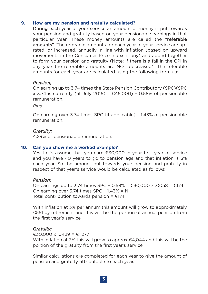### **9. How are my pension and gratuity calculated?**

During each year of your service an amount of money is put towards your pension and gratuity based on your pensionable earnings in that particular year. These money amounts are called the "referable amounts". The referable amounts for each year of your service are uprated, or increased, annually in line with inflation (based on upward movements in the Consumer Price Index, if any) and added together to form your pension and gratuity (Note: If there is a fall in the CPI in any year the referable amounts are NOT decreased). The referable amounts for each year are calculated using the following formula:

### *Pension;*

On earning up to 3.74 times the State Pension Contributory (SPC)(SPC  $x$  3.74 is currently (at July 2015) =  $\epsilon$ 45,000) - 0.58% of pensionable remuneration,

*Plus*

On earning over 3.74 times SPC (if applicable) – 1.43% of pensionable remuneration.

#### *Gratuity:*

4.29% of pensionable remuneration.

#### **10. Can you show me a worked example?**

Yes. Let's assume that you earn €30,000 in your first year of service and you have 40 years to go to pension age and that inflation is 3% each year. So the amount put towards your pension and gratuity in respect of that year's service would be calculated as follows;

### *Pension;*

On earnings up to 3.74 times SPC - 0.58% = €30,000 x .0058 = €174 On earning over 3.74 times SPC – 1.43% = Nil Total contribution towards pension =  $£174$ 

With inflation at 3% per annum this amount will grow to approximately €551 by retirement and this will be the portion of annual pension from the first year's service.

### *Gratuity;*

€30,000 x .0429 = €1,277 With inflation at 3% this will grow to approx  $\epsilon$ 4,044 and this will be the portion of the gratuity from the first year's service.

Similar calculations are completed for each year to give the amount of pension and gratuity attributable to each year.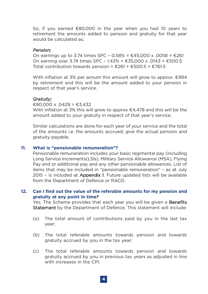So, if you earned €80,000 in the year when you had 10 years to retirement the amounts added to pension and gratuity for that year would be calculated as;

#### *Pension;*

On earnings up to 3.74 times SPC – 0.58% = €45,000 x .0058 = €261 On earning over 3.74 times SPC - 1.43% = €35,000 x .0143 = €500.5 Total contribution towards pension =  $£261 + £500.5 = £761.5$ 

With inflation at 3% per annum this amount will grow to approx. €994 by retirement and this will be the amount added to your pension in respect of that year's service.

### *Gratuity;*

 $£80,000 \times 0.0429 = £3,432$ 

With inflation at 3% this will grow to approx  $\epsilon$ 4,478 and this will be the amount added to your gratuity in respect of that year's service.

Similar calculations are done for each year of your service and the total of the amounts i.e. the amounts accrued; give the actual pension and gratuity payable.

#### **11. What is "pensionable remuneration"?**

Pensionable remuneration includes your basic regimental pay (including Long Service Increments(LSIs), Military Service Allowance (MSA), Flying Pay and or additional pay and any other pensionable allowances. List of items that may be included in "pensionable remuneration" – as at July 2015 - is included at Appendix 1. Future updated lists will be available from the Department of Defence or RACO.

### **12. Can I find out the value of the referable amounts for my pension and gratuity at any point in time?**

Yes. The Scheme provides that each year you will be given a **Benefits** Statement by the Department of Defence. This statement will include:

- (a) The total amount of contributions paid by you in the last tax year;
- (b) The total referable amounts towards pension and towards gratuity accrued by you in the tax year;
- (c) The total referable amounts towards pension and towards gratuity accrued by you in previous tax years as adjusted in line with increases in the CPI.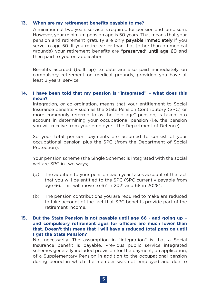### **13. When are my retirement benefits payable to me?**

A minimum of two years service is required for pension and lump sum. However, your minimum pension age is 50 years. That means that your pension and retirement gratuity are only payable immediately if you serve to age 50. If you retire earlier than that (other than on medical grounds) your retirement benefits are "preserved' until age 60 and then paid to you on application.

Benefits accrued (built up) to date are also paid immediately on compulsory retirement on medical grounds, provided you have at least 2 years' service.

### **14. I have been told that my pension is "integrated" – what does this mean?**

Integration, or co-ordination, means that your entitlement to Social Insurance benefits – such as the State Pension Contributory (SPC) or more commonly referred to as the "old age" pension, is taken into account in determining your occupational pension (i.e. the pension you will receive from your employer - the Department of Defence).

So your total pension payments are assumed to consist of your occupational pension plus the SPC (from the Department of Social Protection).

Your pension scheme (the Single Scheme) is integrated with the social welfare SPC in two ways;

- (a) The addition to your pension each year takes account of the fact that you will be entitled to the SPC (SPC currently payable from age 66. This will move to 67 in 2021 and 68 in 2028).
- (b) The pension contributions you are required to make are reduced to take account of the fact that SPC benefits provide part of the retirement income.

### **15. But the State Pension is not payable until age 66 - and going up – and compulsory retirement ages for officers are much lower than that. Doesn't this mean that I will have a reduced total pension until I get the State Pension?**

Not necessarily. The assumption in "integration" is that a Social Insurance benefit is payable. Previous public service integrated schemes generally included provision for the payment, on application, of a Supplementary Pension in addition to the occupational pension during period in which the member was not employed and due to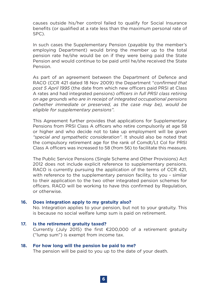causes outside his/her control failed to qualify for Social Insurance benefits (or qualified at a rate less than the maximum personal rate of SPC).

In such cases the Supplementary Pension (payable by the member's employing Department) would bring the member up to the total pension rate he/she would be on if they were being paid the State Pension and would continue to be paid until he/she received the State Pension.

As part of an agreement between the Department of Defence and RACO (CCR 421 dated 18 Nov 2009) the Department "*confirmed that post 5 April 1995* (the date from which new officers paid PRSI at Class A rates and had integrated pensions) *officers in full PRSI class retiring on age grounds who are in receipt of integrated occupational pensions (whether immediate or preserved, as the case may be), would be eligible for supplementary pensions".*

This Agreement further provides that applications for Supplementary Pensions from PRSI Class A officers who retire compulsorily at age 58 or higher and who decide not to take up employment will be given *"special and sympathetic consideration"*. It should also be noted that the compulsory retirement age for the rank of Comdt/Lt Col for PRSI Class A officers was increased to 58 (from 56) to facilitate this measure.

The Public Service Pensions (Single Scheme and Other Provisions) Act 2012 does not include explicit reference to supplementary pensions. RACO is currently pursuing the application of the terms of CCR 421, with reference to the supplementary pension facility, to you - similar to their application to the two other integrated pension schemes for officers. RACO will be working to have this confirmed by Regulation, or otherwise.

#### **16. Does integration apply to my gratuity also?**

No. Integration applies to your pension, but not to your gratuity. This is because no social welfare lump sum is paid on retirement.

#### **17. Is the retirement gratuity taxed?**

Currently (July 2015) the first  $\epsilon$ 200,000 of a retirement gratuity ("lump sum") is exempt from income tax.

#### **18. For how long will the pension be paid to me?**

The pension will be paid to you up to the date of your death.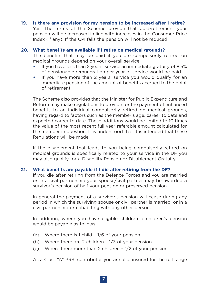#### **19. Is there any provision for my pension to be increased after I retire?**

Yes. The terms of the Scheme provide that post-retirement your pension will be increased in line with increases in the Consumer Price Index (if any). If the CPI falls the pension will not be reduced.

#### **20. What benefits are available if I retire on medical grounds?**

The benefits that may be paid if you are compulsorily retired on medical grounds depend on your overall service;

- If you have less than 2 years' service an immediate gratuity of 8.5% of pensionable remuneration per year of service would be paid.
- If you have more than 2 years' service you would qualify for an immediate pension of the amount of benefits accrued to the point of retirement.

The Scheme also provides that the Minister for Public Expenditure and Reform may make regulations to provide for the payment of enhanced benefits to an individual compulsorily retired on medical grounds, having regard to factors such as the member's age, career to date and expected career to date. These additions would be limited to 10 times the value of the most recent full year referable amount calculated for the member in question. It is understood that it is intended that these Regulations will be made.

If the disablement that leads to you being compulsorily retired on medical grounds is specifically related to your service in the DF you may also qualify for a Disability Pension or Disablement Gratuity.

#### **21. What benefits are payable if I die after retiring from the DF?**

If you die after retiring from the Defence Forces and you are married or in a civil partnership your spouse/civil partner may be awarded a survivor's pension of half your pension or preserved pension.

In general the payment of a survivor's pension will cease during any period in which the surviving spouse or civil partner is married, or in a civil partnership or cohabiting with any other person.

In addition, where you have eligible children a children's pension would be payable as follows;

- (a) Where there is 1 child 1/6 of your pension
- (b) Where there are 2 children 1/3 of your pension
- (c) Where there more than 2 children 1/2 of your pension

As a Class "A" PRSI contributor you are also insured for the full range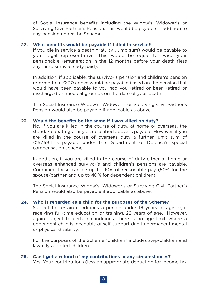of Social Insurance benefits including the Widow's, Widower's or Surviving Civil Partner's Pension. This would be payable in addition to any pension under the Scheme.

#### **22. What benefits would be payable if I died in service?**

If you die in service a death gratuity (lump sum) would be payable to your legal representative. This would be equal to twice your pensionable remuneration in the 12 months before your death (less any lump sums already paid).

In addition, if applicable, the survivor's pension and children's pension referred to at Q.20 above would be payable based on the pension that would have been payable to you had you retired or been retired or discharged on medical grounds on the date of your death.

The Social Insurance Widow's, Widower's or Surviving Civil Partner's Pension would also be payable if applicable as above.

### **23. Would the benefits be the same if I was killed on duty?**

No. If you are killed in the course of duty, at home or overseas, the standard death gratuity as described above is payable. However, if you are killed in the course of overseas duty a further lump sum of €157,594 is payable under the Department of Defence's special compensation scheme.

In addition, if you are killed in the course of duty either at home or overseas enhanced survivor's and children's pensions are payable. Combined these can be up to 90% of reckonable pay (50% for the spouse/partner and up to 40% for dependent children).

The Social Insurance Widow's, Widower's or Surviving Civil Partner's Pension would also be payable if applicable as above.

### **24. Who is regarded as a child for the purposes of the Scheme?**

Subject to certain conditions a person under 16 years of age or, if receiving full-time education or training, 22 years of age. However, again subject to certain conditions, there is no age limit where a dependent child is incapable of self-support due to permanent mental or physical disability.

For the purposes of the Scheme "children" includes step-children and lawfully adopted children.

# **25. Can I get a refund of my contributions in any circumstances?**

Yes. Your contributions (less an appropriate deduction for income tax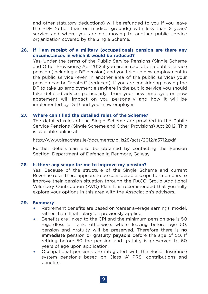and other statutory deductions) will be refunded to you if you leave the PDF (other than on medical grounds) with less than 2 years' service and where you are not moving to another public service organization covered by the Single Scheme.

### **26. If I am receipt of a military (occupational) pension are there any circumstances in which it would be reduced?**

Yes. Under the terms of the Public Service Pensions (Single Scheme and Other Provisions) Act 2012 if you are in receipt of a public service pension (including a DF pension) and you take up new employment in the public service (even in another area of the public service) your pension can be "abated" (reduced). If you are considering leaving the DF to take up employment elsewhere in the public service you should take detailed advice, particularly from your new employer, on how abatement will impact on you personally and how it will be implemented by DoD and your new employer.

#### **27. Where can I find the detailed rules of the Scheme?**

The detailed rules of the Single Scheme are provided in the Public Service Pensions (Single Scheme and Other Provisions) Act 2012. This is available online at;

http://www.oireachtas.ie/documents/bills28/acts/2012/a3712.pdf

Further details can also be obtained by contacting the Pension Section, Department of Defence in Renmore, Galway.

#### **28 Is there any scope for me to improve my pension?**

Yes. Because of the structure of the Single Scheme and current Revenue rules there appears to be considerable scope for members to improve their pension situation through the RACO Group Additional Voluntary Contribution (AVC) Plan. It is recommended that you fully explore your options in this area with the Association's advisors.

#### **29. Summary**

- Retirement benefits are based on 'career average earnings' model, rather than 'final salary' as previously applied.
- Benefits are linked to the CPI and the minimum pension age is 50 regardless of rank; otherwise, where leaving before age 50, pension and gratuity will be preserved. Therefore there is no immediate pension or gratuity payable before the age of 50. If retiring before 50 the pension and gratuity is preserved to 60 years of age upon application.
- Occupational pensions are integrated with the Social Insurance system pension's based on Class 'A' PRSI contributions and benefits.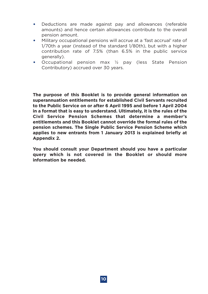- Deductions are made against pay and allowances (referable amounts) and hence certain allowances contribute to the overall pension amount.
- Military occupational pensions will accrue at a 'fast accrual' rate of 1/70th a year (instead of the standard 1/80th), but with a higher contribution rate of 7.5% (than 6.5% in the public service generally).
- Occupational pension max ½ pay (less State Pension Contributory) accrued over 30 years.

**The purpose of this Booklet is to provide general information on superannuation entitlements for established Civil Servants recruited to the Public Service on or after 6 April 1995 and before 1 April 2004 in a format that is easy to understand. Ultimately, it is the rules of the Civil Service Pension Schemes that determine a member's entitlements and this Booklet cannot override the formal rules of the pension schemes. The Single Public Service Pension Scheme which applies to new entrants from 1 January 2013 is explained briefly at Appendix 2.**

**You should consult your Department should you have a particular query which is not covered in the Booklet or should more information be needed.**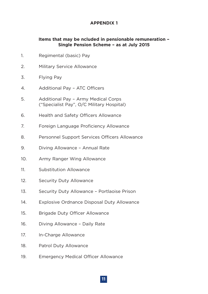# **APPENDIX 1**

# **Items that may be ncluded in pensionable remuneration – Single Pension Scheme – as at July 2015**

- 1. Regimental (basic) Pay
- 2. Military Service Allowance
- 3. Flying Pay
- 4. Additional Pay ATC Officers
- 5. Additional Pay Army Medical Corps ("Specialist Pay", O/C Military Hospital)
- 6. Health and Safety Officers Allowance
- 7. Foreign Language Proficiency Allowance
- 8. Personnel Support Services Officers Allowance
- 9. Diving Allowance Annual Rate
- 10. Army Ranger Wing Allowance
- 11. Substitution Allowance
- 12. Security Duty Allowance
- 13. Security Duty Allowance Portlaoise Prison
- 14. Explosive Ordnance Disposal Duty Allowance
- 15. Brigade Duty Officer Allowance
- 16. Diving Allowance Daily Rate
- 17. In-Charge Allowance
- 18. Patrol Duty Allowance
- 19. Emergency Medical Officer Allowance